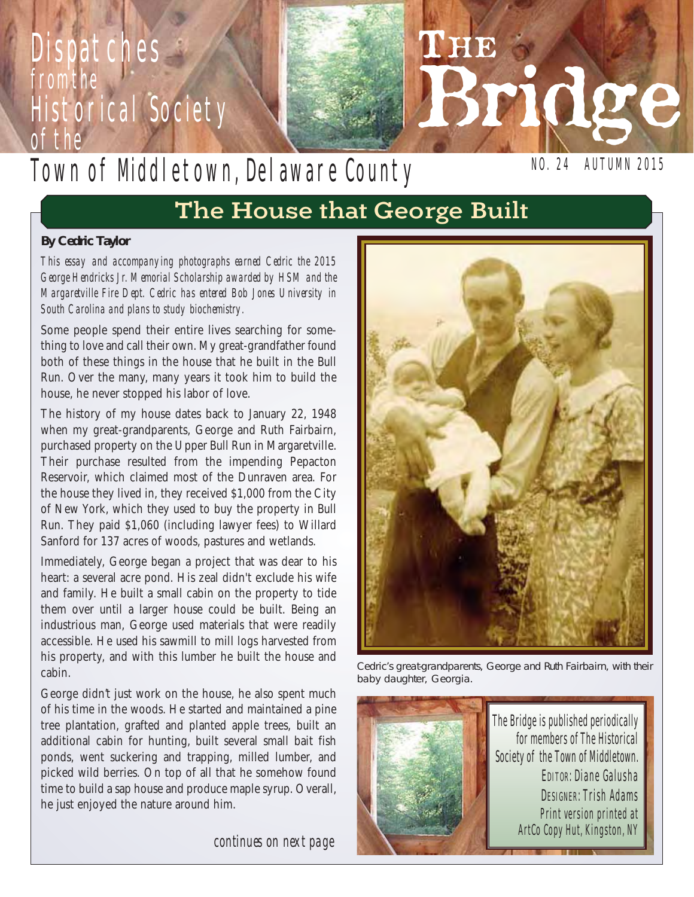# **Dispatches** from the Historical Society of the

# Town of Mddletown, Delaware County

NO. 24 AUTUMN 2015

Bridge

## The House that George Built

#### **By Cedric Taylor**

*This essay and accompanying photographs earned Cedric the 2015 George Hendricks Jr. Memorial Scholarship awarded by HSM and the Margaretville Fire Dept. Cedric has entered Bob Jones University in South Carolina and plans to study biochemistry.* 

Some people spend their entire lives searching for something to love and call their own. My great-grandfather found both of these things in the house that he built in the Bull Run. Over the many, many years it took him to build the house, he never stopped his labor of love.

The history of my house dates back to January 22, 1948 when my great-grandparents, George and Ruth Fairbairn, purchased property on the Upper Bull Run in Margaretville. Their purchase resulted from the impending Pepacton Reservoir, which claimed most of the Dunraven area. For the house they lived in, they received \$1,000 from the City of New York, which they used to buy the property in Bull Run. They paid \$1,060 (including lawyer fees) to Willard Sanford for 137 acres of woods, pastures and wetlands.

Immediately, George began a project that was dear to his heart: a several acre pond. His zeal didn't exclude his wife and family. He built a small cabin on the property to tide them over until a larger house could be built. Being an industrious man, George used materials that were readily accessible. He used his sawmill to mill logs harvested from his property, and with this lumber he built the house and cabin.

George didn't just work on the house, he also spent much of his time in the woods. He started and maintained a pine tree plantation, grafted and planted apple trees, built an additional cabin for hunting, built several small bait fish ponds, went suckering and trapping, milled lumber, and picked wild berries. On top of all that he somehow found time to build a sap house and produce maple syrup. Overall, he just enjoyed the nature around him.

*continues on next page*



**THE** 

Cedric's great-grandparents, George and Ruth Fairbairn, with their baby daughter, Georgia.

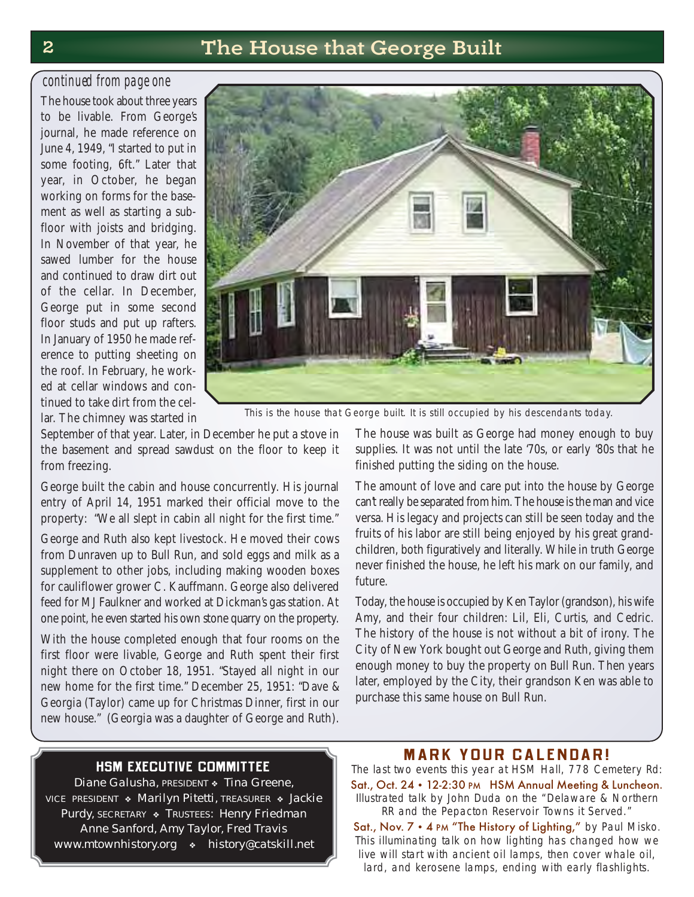### 2 The House that George Built

#### *continued from page one*

The house took about three years to be livable. From George's journal, he made reference on June 4, 1949, "I started to put in some footing, 6ft." Later that year, in October, he began working on forms for the basement as well as starting a subfloor with joists and bridging. In November of that year, he sawed lumber for the house and continued to draw dirt out of the cellar. In December, George put in some second floor studs and put up rafters. In January of 1950 he made reference to putting sheeting on the roof. In February, he worked at cellar windows and continued to take dirt from the cellar. The chimney was started in



This is the house that George built. It is still occupied by his descendants today.

September of that year. Later, in December he put a stove in the basement and spread sawdust on the floor to keep it from freezing.

George built the cabin and house concurrently. His journal entry of April 14, 1951 marked their official move to the property: "We all slept in cabin all night for the first time."

George and Ruth also kept livestock. He moved their cows from Dunraven up to Bull Run, and sold eggs and milk as a supplement to other jobs, including making wooden boxes for cauliflower grower C. Kauffmann. George also delivered feed for MJ Faulkner and worked at Dickman's gas station. At one point, he even started his own stone quarry on the property.

With the house completed enough that four rooms on the first floor were livable, George and Ruth spent their first night there on October 18, 1951. "Stayed all night in our new home for the first time." December 25, 1951: "Dave & Georgia (Taylor) came up for Christmas Dinner, first in our new house." (Georgia was a daughter of George and Ruth).

The house was built as George had money enough to buy supplies. It was not until the late '70s, or early '80s that he finished putting the siding on the house.

The amount of love and care put into the house by George can't really be separated from him. The house is the man and vice versa. His legacy and projects can still be seen today and the fruits of his labor are still being enjoyed by his great grandchildren, both figuratively and literally. While in truth George never finished the house, he left his mark on our family, and future.

Today, the house is occupied by Ken Taylor (grandson), his wife Amy, and their four children: Lil, Eli, Curtis, and Cedric. The history of the house is not without a bit of irony. The City of New York bought out George and Ruth, giving them enough money to buy the property on Bull Run. Then years later, employed by the City, their grandson Ken was able to purchase this same house on Bull Run.

#### **HSM EXECUTIVE COMMITTEE**

Diane Galusha, PRESIDENT • Tina Greene, VICE PRESIDENT • Marilyn Pitetti, TREASURER • Jackie Purdy, SECRETARY & TRUSTEES: Henry Friedman Anne Sanford, Amy Taylor, Fred Travis www.mtownhistory.org • history@catskill.net

#### **MARK YOUR CALENDAR!**

The last two events this year at HSM Hall, 778 Cemetery Rd: Sat., Oct. 24 • 12-2:30 PM HSM Annual Meeting & Luncheon. Illustrated talk by John Duda on the "Delaware & Northern RR and the Pepacton Reservoir Towns it Served."

Sat., Nov. 7 • 4 PM "The History of Lighting," by Paul Misko. This illuminating talk on how lighting has changed how we live will start with ancient oil lamps, then cover whale oil, lard, and kerosene lamps, ending with early flashlights.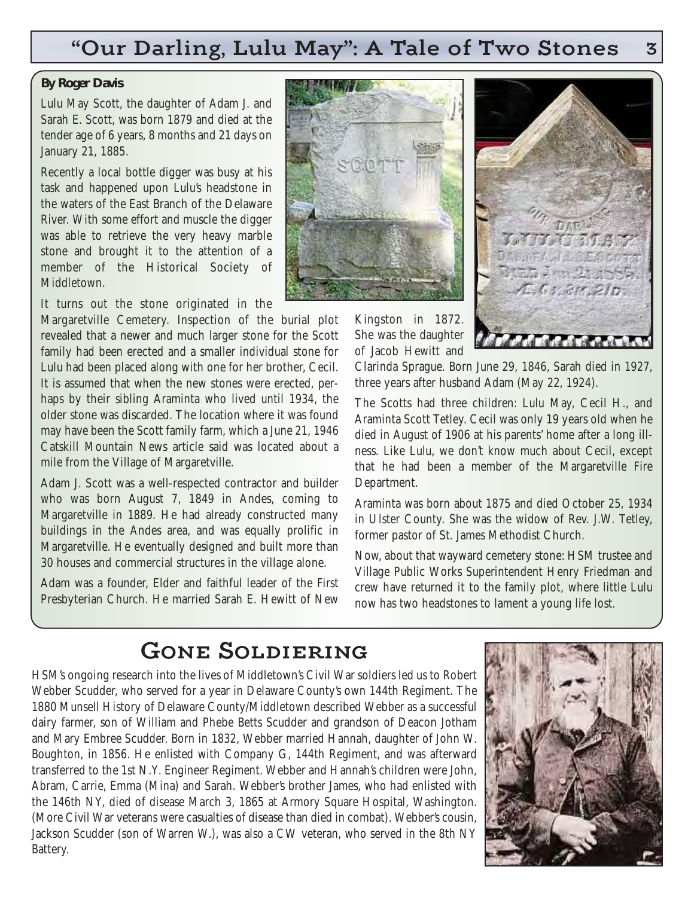### "Our Darling, Lulu May": A Tale of Two Stones 3

#### **By Roger Davis**

Lulu May Scott, the daughter of Adam J. and Sarah E. Scott, was born 1879 and died at the tender age of 6 years, 8 months and 21 days on January 21, 1885.

Recently a local bottle digger was busy at his task and happened upon Lulu's headstone in the waters of the East Branch of the Delaware River. With some effort and muscle the digger was able to retrieve the very heavy marble stone and brought it to the attention of a member of the Historical Society of **Middletown** 

It turns out the stone originated in the Margaretville Cemetery. Inspection of the burial plot revealed that a newer and much larger stone for the Scott family had been erected and a smaller individual stone for Lulu had been placed along with one for her brother, Cecil. It is assumed that when the new stones were erected, perhaps by their sibling Araminta who lived until 1934, the older stone was discarded. The location where it was found may have been the Scott family farm, which a June 21, 1946 Catskill Mountain News article said was located about a mile from the Village of Margaretville.

Adam J. Scott was a well-respected contractor and builder who was born August 7, 1849 in Andes, coming to Margaretville in 1889. He had already constructed many buildings in the Andes area, and was equally prolific in Margaretville. He eventually designed and built more than 30 houses and commercial structures in the village alone.

Adam was a founder, Elder and faithful leader of the First Presbyterian Church. He married Sarah E. Hewitt of New



Kingston in 1872. She was the daughter of Jacob Hewitt and



Clarinda Sprague. Born June 29, 1846, Sarah died in 1927, three years after husband Adam (May 22, 1924).

The Scotts had three children: Lulu May, Cecil H., and Araminta Scott Tetley. Cecil was only 19 years old when he died in August of 1906 at his parents' home after a long illness. Like Lulu, we don't know much about Cecil, except that he had been a member of the Margaretville Fire Department.

Araminta was born about 1875 and died October 25, 1934 in Ulster County. She was the widow of Rev. J.W. Tetley, former pastor of St. James Methodist Church.

Now, about that wayward cemetery stone: HSM trustee and Village Public Works Superintendent Henry Friedman and crew have returned it to the family plot, where little Lulu now has two headstones to lament a young life lost.

### Gone Soldiering

HSM's ongoing research into the lives of Middletown's Civil War soldiers led us to Robert Webber Scudder, who served for a year in Delaware County's own 144th Regiment. The 1880 Munsell History of Delaware County/Middletown described Webber as a successful dairy farmer, son of William and Phebe Betts Scudder and grandson of Deacon Jotham and Mary Embree Scudder. Born in 1832, Webber married Hannah, daughter of John W. Boughton, in 1856. He enlisted with Company G, 144th Regiment, and was afterward transferred to the 1st N.Y. Engineer Regiment. Webber and Hannah's children were John, Abram, Carrie, Emma (Mina) and Sarah. Webber's brother James, who had enlisted with the 146th NY, died of disease March 3, 1865 at Armory Square Hospital, Washington. (More Civil War veterans were casualties of disease than died in combat). Webber's cousin, Jackson Scudder (son of Warren W.), was also a CW veteran, who served in the 8th NY Battery.

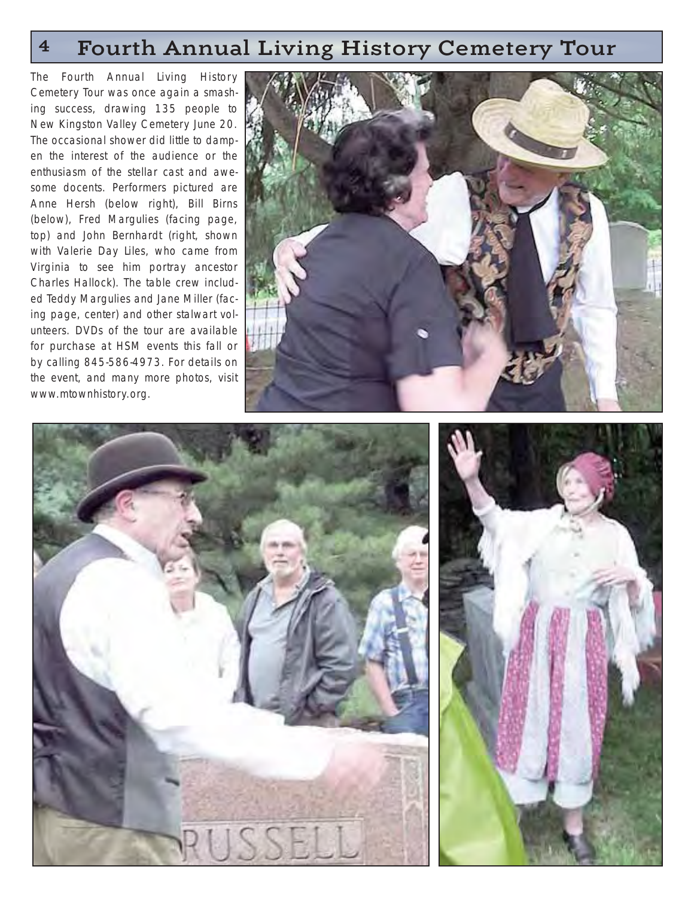### 4 Fourth Annual Living History Cemetery Tour

The Fourth Annual Living History Cemetery Tour was once again a smashing success, drawing 135 people to New Kingston Valley Cemetery June 20. The occasional shower did little to dampen the interest of the audience or the enthusiasm of the stellar cast and awesome docents. Performers pictured are Anne Hersh (below right), Bill Birns (below), Fred Margulies (facing page, top) and John Bernhardt (right, shown with Valerie Day Liles, who came from Virginia to see him portray ancestor Charles Hallock). The table crew included Teddy Margulies and Jane Miller (facing page, center) and other stalwart volunteers. DVDs of the tour are available for purchase at HSM events this fall or by calling 845-586-4973. For details on the event, and many more photos, visit www.mtownhistory.org.





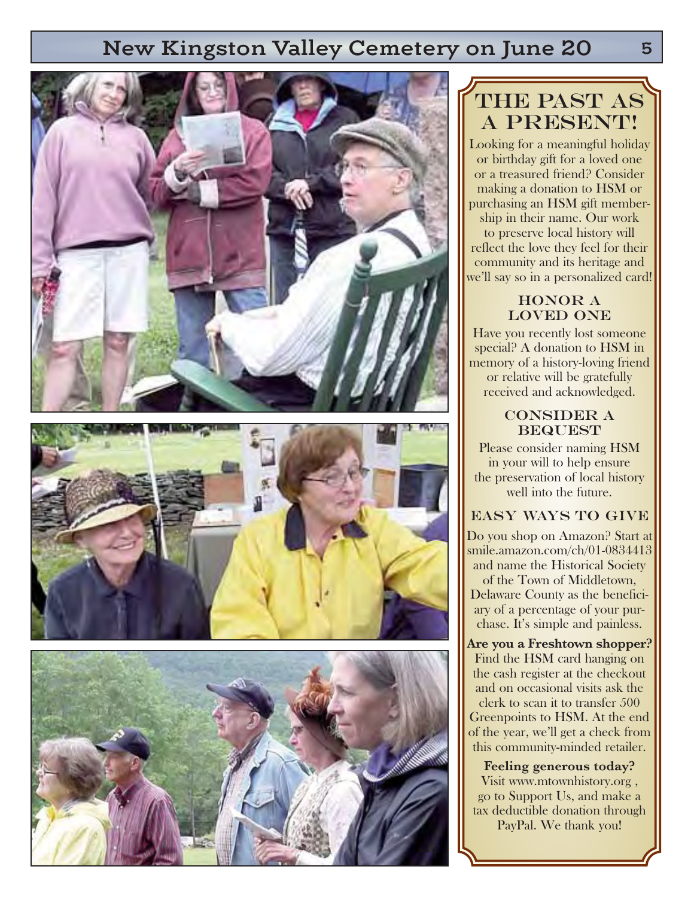### New Kingston Valley Cemetery on June 20







## THE PAST AS A PRESENT!

Looking for a meaningful holiday or birthday gift for a loved one or a treasured friend? Consider making a donation to HSM or purchasing an HSM gift membership in their name. Our work to preserve local history will reflect the love they feel for their community and its heritage and we'll say so in a personalized card!

#### HONOR A loved one

Have you recently lost someone special? A donation to HSM in memory of a history-loving friend or relative will be gratefully received and acknowledged.

#### Consider a **BEQUEST**

Please consider naming HSM in your will to help ensure the preservation of local history well into the future.

#### Easy ways to give

Do you shop on Amazon? Start at smile.amazon.com/ch/01-0834413 and name the Historical Society of the Town of Middletown, Delaware County as the beneficiary of a percentage of your purchase. It's simple and painless.

**Are you a Freshtown shopper?** Find the HSM card hanging on the cash register at the checkout and on occasional visits ask the clerk to scan it to transfer 500 Greenpoints to HSM. At the end of the year, we'll get a check from this community-minded retailer.

**Feeling generous today?** Visit www.mtownhistory.org , go to Support Us, and make a tax deductible donation through PayPal. We thank you!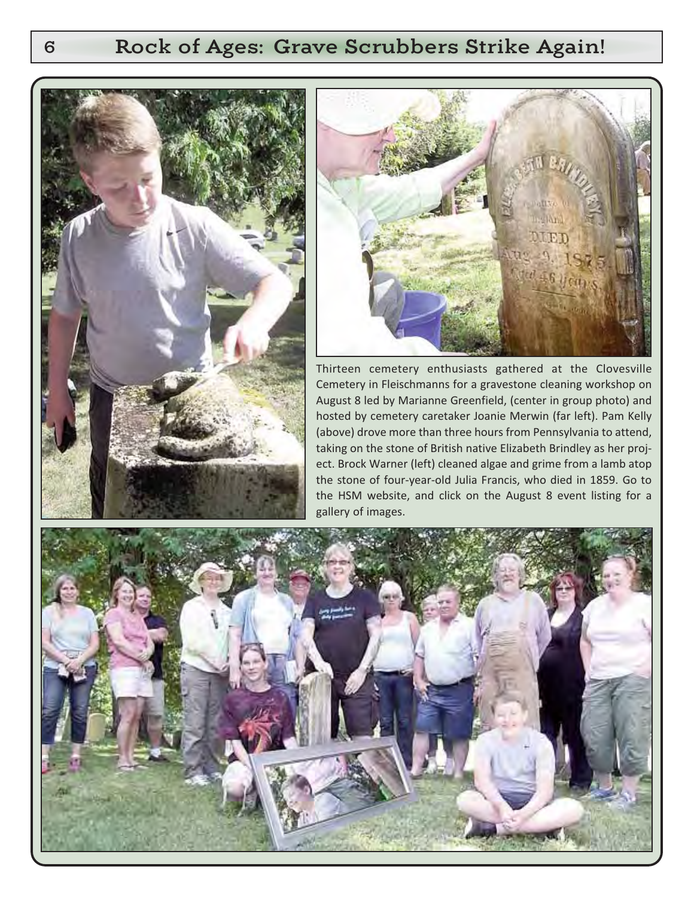### 6 Rock of Ages: Grave Scrubbers Strike Again!





Thirteen cemetery enthusiasts gathered at the Clovesville Cemetery in Fleischmanns for a gravestone cleaning workshop on August 8 led by Marianne Greenfield, (center in group photo) and hosted by cemetery caretaker Joanie Merwin (far left). Pam Kelly (above) drove more than three hours from Pennsylvania to attend, taking on the stone of British native Elizabeth Brindley as her project. Brock Warner (left) cleaned algae and grime from a lamb atop the stone of four-year-old Julia Francis, who died in 1859. Go to the HSM website, and click on the August 8 event listing for a gallery of images.

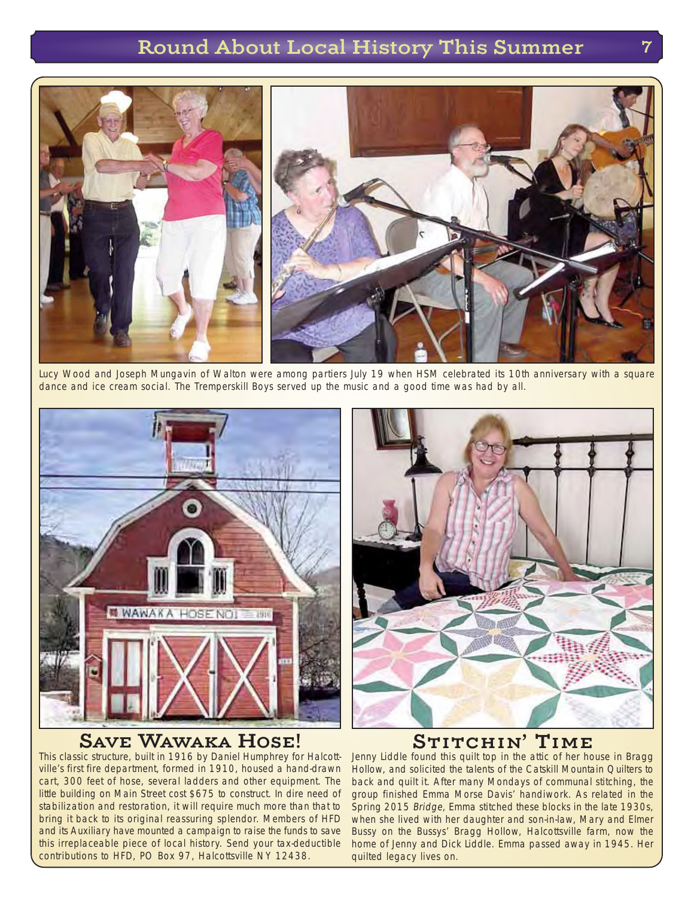### Round About Local History This Summer

![](_page_6_Picture_1.jpeg)

Lucy Wood and Joseph Mungavin of Walton were among partiers July 19 when HSM celebrated its 10th anniversary with a square dance and ice cream social. The Tremperskill Boys served up the music and a good time was had by all.

![](_page_6_Picture_3.jpeg)

#### Save Wawaka Hose!

This classic structure, built in 1916 by Daniel Humphrey for Halcottville's first fire department, formed in 1910, housed a hand-drawn cart, 300 feet of hose, several ladders and other equipment. The little building on Main Street cost \$675 to construct. In dire need of stabilization and restoration, it will require much more than that to bring it back to its original reassuring splendor. Members of HFD and its Auxiliary have mounted a campaign to raise the funds to save this irreplaceable piece of local history. Send your tax-deductible contributions to HFD, PO Box 97, Halcottsville NY 12438.

![](_page_6_Picture_6.jpeg)

### STITCHIN' TIME

Jenny Liddle found this quilt top in the attic of her house in Bragg Hollow, and solicited the talents of the Catskill Mountain Quilters to back and quilt it. After many Mondays of communal stitching, the group finished Emma Morse Davis' handiwork. As related in the Spring 2015 Bridge, Emma stitched these blocks in the late 1930s, when she lived with her daughter and son-in-law, Mary and Elmer Bussy on the Bussys' Bragg Hollow, Halcottsville farm, now the home of Jenny and Dick Liddle. Emma passed away in 1945. Her quilted legacy lives on.